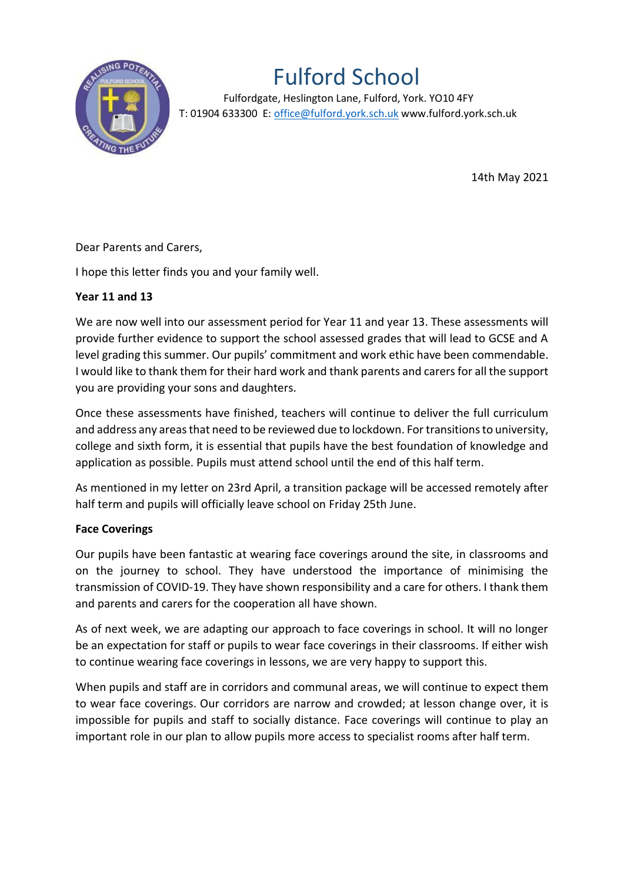

## Fulford School

 Fulfordgate, Heslington Lane, Fulford, York. YO10 4FY T: 01904 633300 E: office@fulford.york.sch.uk www.fulford.york.sch.uk

14th May 2021

Dear Parents and Carers,

I hope this letter finds you and your family well.

## **Year 11 and 13**

We are now well into our assessment period for Year 11 and year 13. These assessments will provide further evidence to support the school assessed grades that will lead to GCSE and A level grading this summer. Our pupils' commitment and work ethic have been commendable. I would like to thank them for their hard work and thank parents and carers for all the support you are providing your sons and daughters.

Once these assessments have finished, teachers will continue to deliver the full curriculum and address any areas that need to be reviewed due to lockdown. For transitions to university, college and sixth form, it is essential that pupils have the best foundation of knowledge and application as possible. Pupils must attend school until the end of this half term.

As mentioned in my letter on 23rd April, a transition package will be accessed remotely after half term and pupils will officially leave school on Friday 25th June.

## **Face Coverings**

Our pupils have been fantastic at wearing face coverings around the site, in classrooms and on the journey to school. They have understood the importance of minimising the transmission of COVID-19. They have shown responsibility and a care for others. I thank them and parents and carers for the cooperation all have shown.

As of next week, we are adapting our approach to face coverings in school. It will no longer be an expectation for staff or pupils to wear face coverings in their classrooms. If either wish to continue wearing face coverings in lessons, we are very happy to support this.

When pupils and staff are in corridors and communal areas, we will continue to expect them to wear face coverings. Our corridors are narrow and crowded; at lesson change over, it is impossible for pupils and staff to socially distance. Face coverings will continue to play an important role in our plan to allow pupils more access to specialist rooms after half term.